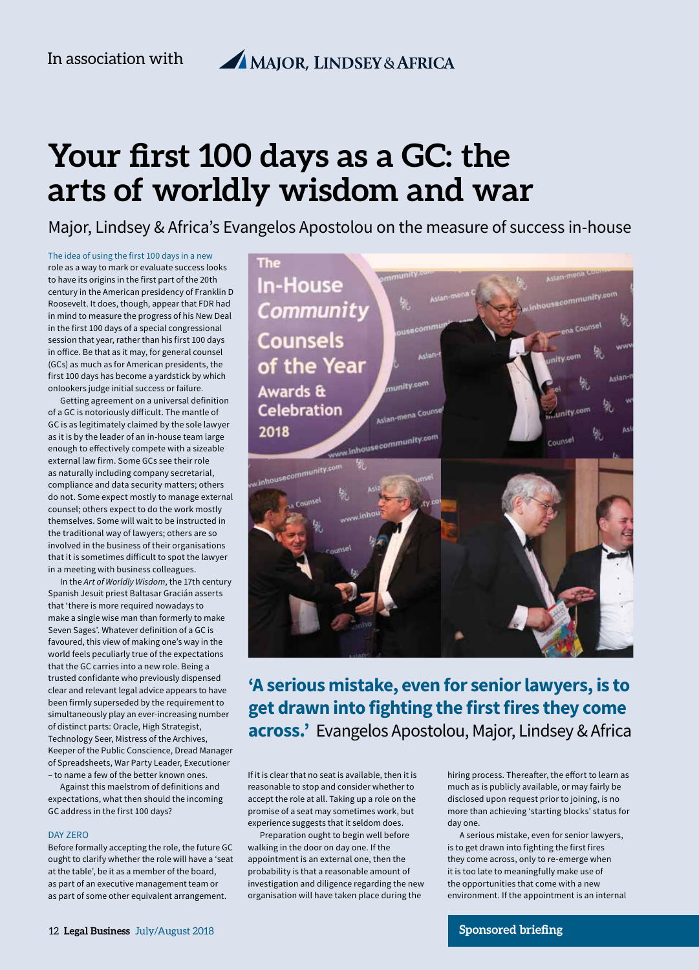# **Your first 100 days as a GC: the arts of worldly wisdom and war**

Major, Lindsey & Africa's Evangelos Apostolou on the measure of success in-house

The idea of using the first 100 days in a new role as a way to mark or evaluate success looks to have its origins in the first part of the 20th century in the American presidency of Franklin D Roosevelt. It does, though, appear that FDR had in mind to measure the progress of his New Deal in the first 100 days of a special congressional session that year, rather than his first 100 days in office. Be that as it may, for general counsel (GCs) as much as for American presidents, the first 100 days has become a yardstick by which onlookers judge initial success or failure.

Getting agreement on a universal definition of a GC is notoriously difficult. The mantle of GC is as legitimately claimed by the sole lawyer as it is by the leader of an in-house team large enough to effectively compete with a sizeable external law firm. Some GCs see their role as naturally including company secretarial, compliance and data security matters; others do not. Some expect mostly to manage external counsel; others expect to do the work mostly themselves. Some will wait to be instructed in the traditional way of lawyers; others are so involved in the business of their organisations that it is sometimes difficult to spot the lawyer in a meeting with business colleagues.

In the *Art of Worldly Wisdom*, the 17th century Spanish Jesuit priest Baltasar Gracián asserts that 'there is more required nowadays to make a single wise man than formerly to make Seven Sages'. Whatever definition of a GC is favoured, this view of making one's way in the world feels peculiarly true of the expectations that the GC carries into a new role. Being a trusted confidante who previously dispensed clear and relevant legal advice appears to have been firmly superseded by the requirement to simultaneously play an ever-increasing number of distinct parts: Oracle, High Strategist, Technology Seer, Mistress of the Archives, Keeper of the Public Conscience, Dread Manager of Spreadsheets, War Party Leader, Executioner – to name a few of the better known ones.

Against this maelstrom of definitions and expectations, what then should the incoming GC address in the first 100 days?

#### DAY ZERO

Before formally accepting the role, the future GC ought to clarify whether the role will have a 'seat at the table', be it as a member of the board, as part of an executive management team or as part of some other equivalent arrangement.



## **'A serious mistake, even for senior lawyers, is to get drawn into fighting the first fires they come across.'** Evangelos Apostolou, Major, Lindsey & Africa

If it is clear that no seat is available, then it is reasonable to stop and consider whether to accept the role at all. Taking up a role on the promise of a seat may sometimes work, but experience suggests that it seldom does.

Preparation ought to begin well before walking in the door on day one. If the appointment is an external one, then the probability is that a reasonable amount of investigation and diligence regarding the new organisation will have taken place during the

hiring process. Thereafter, the effort to learn as much as is publicly available, or may fairly be disclosed upon request prior to joining, is no more than achieving 'starting blocks' status for day one.

A serious mistake, even for senior lawyers, is to get drawn into fighting the first fires they come across, only to re-emerge when it is too late to meaningfully make use of the opportunities that come with a new environment. If the appointment is an internal